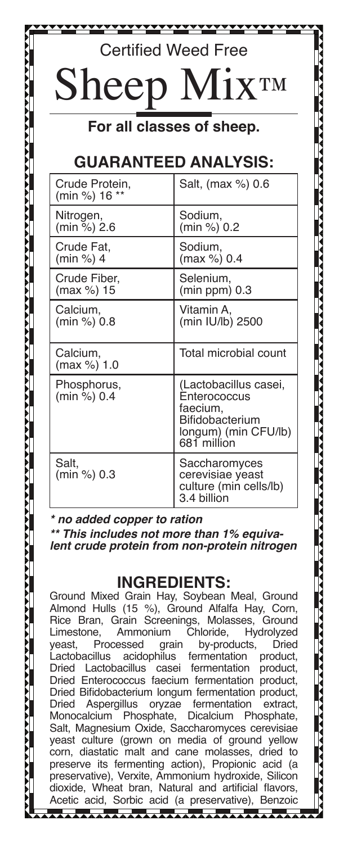## Certified Weed Free

# Sheep Mix™

**For all classes of sheep.**

## **GUARANTEED ANALYSIS:**

| Crude Protein,<br>(min %) 16 ** | Salt, (max %) 0.6                                                                                           |
|---------------------------------|-------------------------------------------------------------------------------------------------------------|
| Nitrogen,                       | Sodium,                                                                                                     |
| (min %) 2.6                     | (min %) 0.2                                                                                                 |
| Crude Fat.                      | Sodium,                                                                                                     |
| (min %) 4                       | (max %) 0.4                                                                                                 |
| Crude Fiber,                    | Selenium,                                                                                                   |
| (max %) 15                      | $(min ppm)$ 0.3                                                                                             |
| Calcium,                        | Vitamin A.                                                                                                  |
| (min %) 0.8                     | (min IU/lb) 2500                                                                                            |
| Calcium,<br>(max %) 1.0         | Total microbial count                                                                                       |
| Phosphorus,<br>(min %) 0.4      | (Lactobacillus casei,<br>Enterococcus<br>faecium,<br>Bifidobacterium<br>longum) (min CFU/lb)<br>681 million |
| Salt.<br>(min %) 0.3            | Saccharomyces<br>cerevisiae yeast<br>culture (min cells/lb)<br>3.4 billion                                  |

#### *\* no added copper to ration*

*\*\* This includes not more than 1% equivalent crude protein from non-protein nitrogen*

### **INGREDIENTS:**

Ground Mixed Grain Hay, Soybean Meal, Ground Almond Hulls (15 %), Ground Alfalfa Hay, Corn, Rice Bran, Grain Screenings, Molasses, Ground<br>Limestone, Ammonium Chloride, Hydrolyzed e, Ammonium Chloride, Hydrolyzed<br>Processed arain by-products, Dried yeast, Processed grain by-products, Dried<br>Lactobacillus acidophilus fermentation product. Lactobacillus acidophilus fermentation product, Dried Lactobacillus casei Dried Enterococcus faecium fermentation product, Dried Bifidobacterium longum fermentation product,<br>Dried Aspergillus oryzae fermentation extract, Aspergillus oryzae fermentation extract,<br>alcium Phosphate. Dicalcium Phosphate. Monocalcium Salt, Magnesium Oxide, Saccharomyces cerevisiae yeast culture (grown on media of ground yellow corn, diastatic malt and cane molasses, dried to preserve its fermenting action), Propionic acid (a preservative), Verxite, Ammonium hydroxide, Silicon dioxide, Wheat bran, Natural and artificial flavors, Acetic acid, Sorbic acid (a preservative), Benzoic